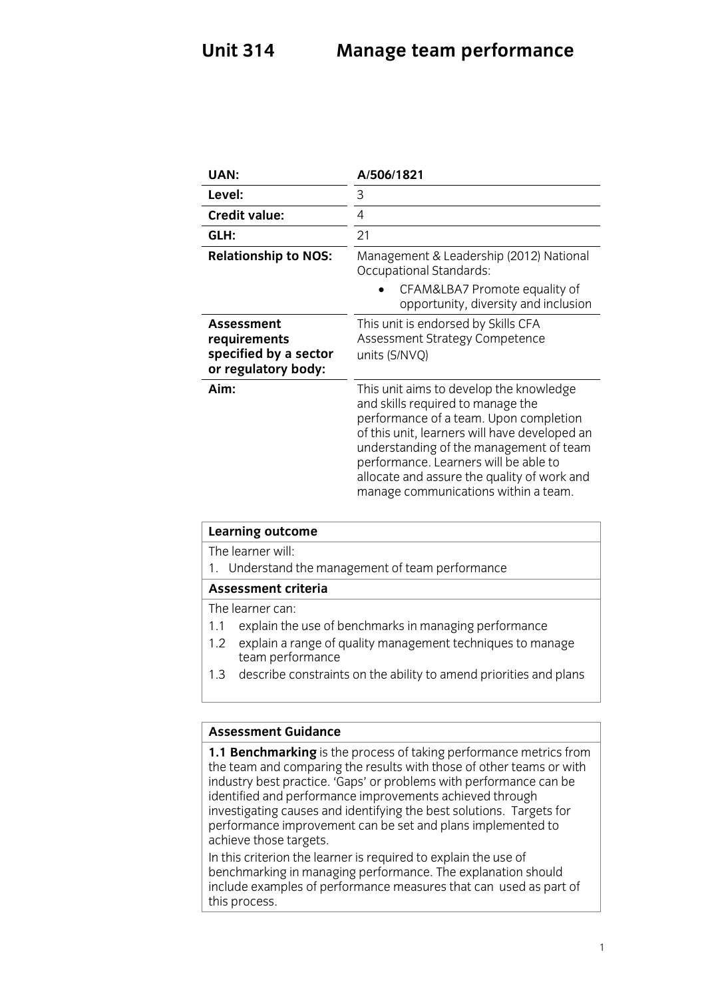### **Unit 314 Unit 314 Manage team performance**

| UAN:                                                                              | A/506/1821                                                                                                                                                                                                                                                                                                                                         |
|-----------------------------------------------------------------------------------|----------------------------------------------------------------------------------------------------------------------------------------------------------------------------------------------------------------------------------------------------------------------------------------------------------------------------------------------------|
| Level:                                                                            | 3                                                                                                                                                                                                                                                                                                                                                  |
| <b>Credit value:</b>                                                              | 4                                                                                                                                                                                                                                                                                                                                                  |
| GLH:                                                                              | 21                                                                                                                                                                                                                                                                                                                                                 |
| <b>Relationship to NOS:</b>                                                       | Management & Leadership (2012) National<br><b>Occupational Standards:</b>                                                                                                                                                                                                                                                                          |
|                                                                                   | CFAM&LBA7 Promote equality of<br>opportunity, diversity and inclusion                                                                                                                                                                                                                                                                              |
| <b>Assessment</b><br>requirements<br>specified by a sector<br>or regulatory body: | This unit is endorsed by Skills CFA<br>Assessment Strategy Competence<br>units (S/NVQ)                                                                                                                                                                                                                                                             |
| Aim:                                                                              | This unit aims to develop the knowledge<br>and skills required to manage the<br>performance of a team. Upon completion<br>of this unit, learners will have developed an<br>understanding of the management of team<br>performance. Learners will be able to<br>allocate and assure the quality of work and<br>manage communications within a team. |

| Learning outcome                                                         |  |
|--------------------------------------------------------------------------|--|
| The learner will:                                                        |  |
| 1. Understand the management of team performance                         |  |
| <b>Assessment criteria</b>                                               |  |
| The learner can:                                                         |  |
| explain the use of benchmarks in managing performance<br>1.1             |  |
| explain a range of quality management techniques to manage<br>1.2        |  |
| team performance                                                         |  |
| describe constraints on the ability to amend priorities and plans<br>1.3 |  |
|                                                                          |  |

Assessment Guidance<br>**1.1 Benchmarking** is the process of taking performance metrics from the team and comparing the results with those of other teams or with industry best practice. 'Gaps' or problems with performance can be identified and performance improvements achieved through investigating causes and identifying the best solutions. Targets for performance improvement can be set and plans implemented to achieve those targets.

In this criterion the learner is required to explain the use of benchmarking in managing performance. The explanation should include examples of performance measures that can used as part of this process. the process.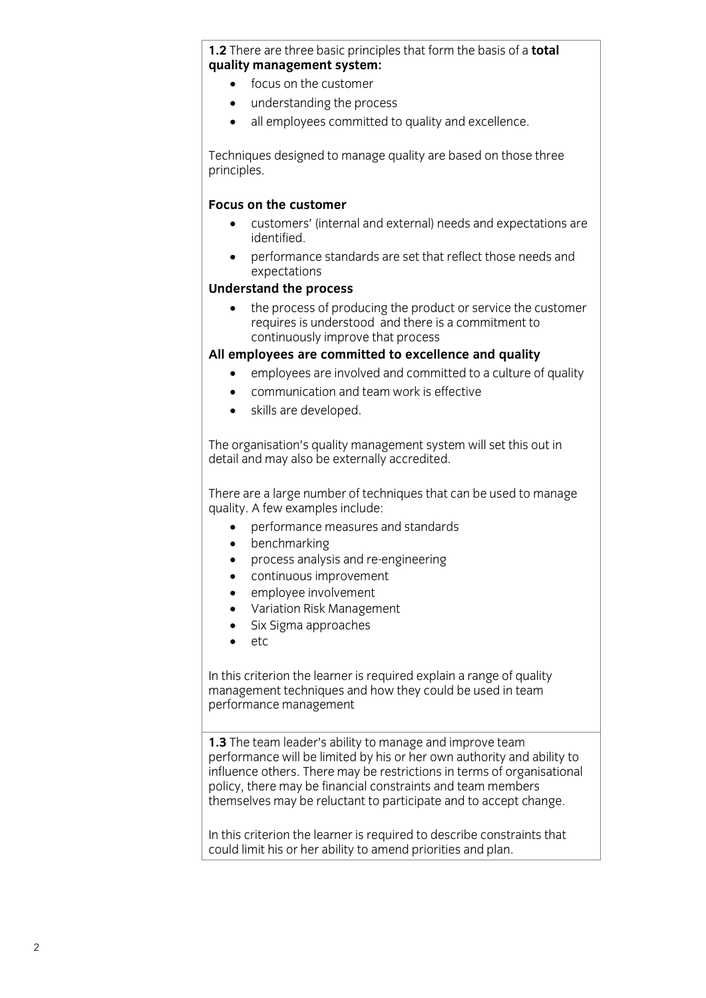## **1.2** There are three basic principles that form the basis of a **total**

- $\bullet$  focus on the customer
	- understanding the process<br>• all employees committed to
	- all employees committed to quality and excellence.

Techniques designed to manage quality are based on those three principles. principles.

### Focus on the customer

- **Focustomers'** (internal and external) needs and expectations are identified.
- performance standards are set that reflect those needs and<br>expectations expectations<br>**Understand the process**

• the process of producing the product or service the customer<br>
requires is understood and there is a commitment to continuously improve that process

### All employees are committed to excellence and quality

- **All employees are involved and committed to a culture of quality**<br> **expansive and to a culture of quality** 
	- communication and team work is effective
	- skills are developed.

The organisation's quality management system will set this out in detail and may also be externally accredited.  $\frac{d}{dx}$  and  $\frac{d}{dx}$  and  $\frac{d}{dx}$  are extended.

There are a large number of techniques that can be used to manage quality. A few examples include:

- $\begin{bmatrix} 1 \\ 1 \end{bmatrix}$  performance measures and standards
	- benchmarking<br>• process analys
	- process analysis and re-engineering<br>• continuous improvement
	- continuous improvement<br>• emplovee involvement
	- employee involvement
	- Variation Risk Management
	- Six Sigma approaches<br>• etc
	- etc

In this criterion the learner is required explain a range of quality management techniques and how they could be used in team  $\frac{1}{2}$  management techniques and  $\frac{1}{2}$  could be used in team of the used in team  $\frac{1}{2}$ performance management

**1.3** The team leader's ability to manage and improve team performance will be limited by his or her own authority and ability to influence others. There may be restrictions in terms of organisational policy, there may be financial constraints and team members themselves may be reluctant to participate and to accept change. themselves may be reluctant to participate and to accept change.

In this criterion the learner is required to describe constraints that could limit his or her ability to amend priorities and plan. could limit his or her ability to a mention plan.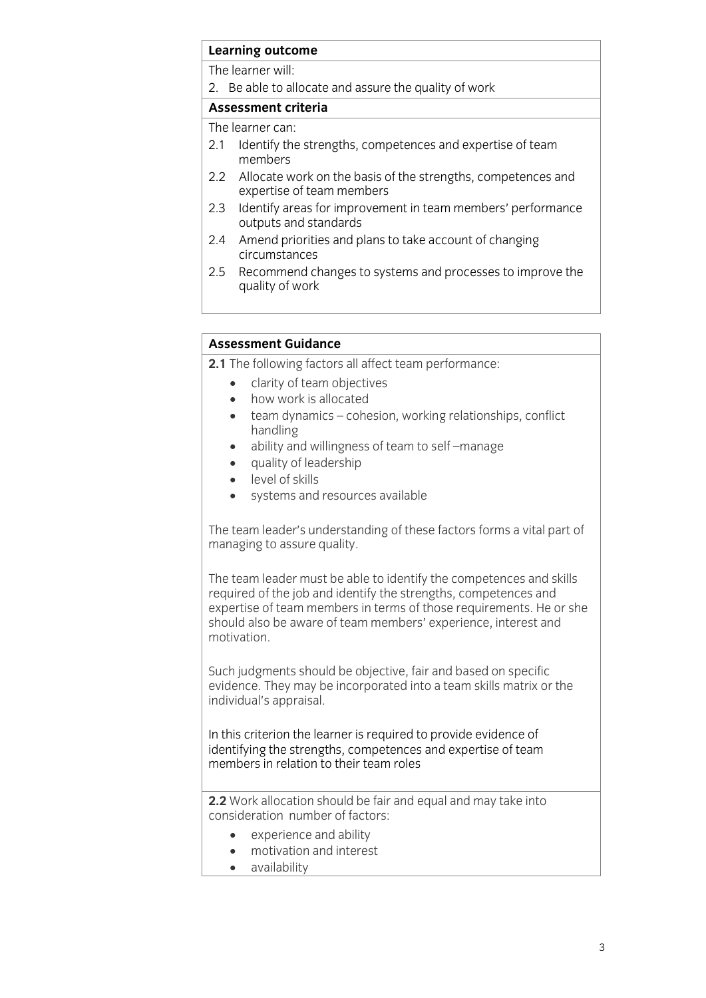# **Learning outcome**<br>The learner will:

2. Be able to allocate and assure the quality of work

### Assessment criteria

The learner can:

- 2.1 Identify the strengths, competences and expertise of team members
- 2.2 Allocate work on the basis of the strengths, competences and expertise of team members
- 2.3 Identify areas for improvement in team members' performance outputs and standards
- $2.4$ Amend priorities and plans to take account of changing circumstances
- $2.5$ Recommend changes to systems and processes to improve the quality of work  $\mathbf{q}$  and  $\mathbf{q}$  work of works  $\mathbf{q}$

### **Assessment Guidance**

- **2.1** The following factors all affect team performance:
- **2.1** The clarity of team objectives<br> **2.1** how work is allocated
	- how work is allocated
	- team dynamics cohesion, working relationships, conflict
	- ability and willingness of team to self –manage<br>• auality of leadership
	- auality of leadership
	- level of skills
	- systems and resources available

The team leader's understanding of these factors forms a vital part of managing to assure quality.  $\overline{a}$  as assumed to a surface  $\overline{a}$ 

The team leader must be able to identify the competences and skills required of the job and identify the strengths, competences and expertise of team members in terms of those requirements. He or she should also be aware of team members' experience, interest and motivation. motivation.

Such judgments should be objective, fair and based on specific evidence. They may be incorporated into a team skills matrix or the individual's appraisal. individual's appraisal.

In this criterion the learner is required to provide evidence of identifying the strengths, competences and expertise of team members in relation to their team roles members in relation to their team roles

**2.2** Work allocation should be fair and equal and may take into consideration number of factors:

- experience and ability<br>
 motivation and interest
	- $\bullet$  motivation and interest<br> $\bullet$  availability
	- availability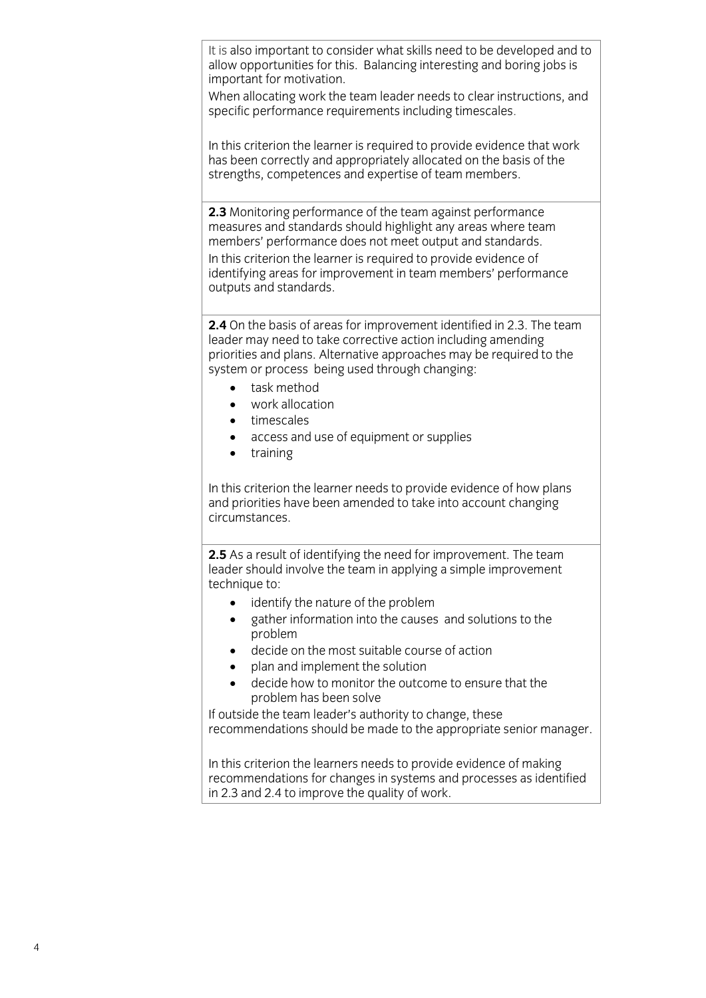It is also important to consider what skills need to be developed and to allow opportunities for this. Balancing interesting and boring jobs is important for motivation.

When allocating work the team leader needs to clear instructions, and specific performance requirements including timescales. specific performance requirements including timescales.

In this criterion the learner is required to provide evidence that work has been correctly and appropriately allocated on the basis of the strengths, competences and expertise of team members. strengths, competences and expertise of team members. The competences and expertise of team members. The competences of team members. The competences of the competences of the competences of the competences of the competen

**2.3** Monitoring performance of the team against performance measures and standards should highlight any areas where team members' performance does not meet output and standards.

In this criterion the learner is required to provide evidence of identifying areas for improvement in team members' performance  $i$  outputs and standards. outputs and standards.

**2.4** On the basis of areas for improvement identified in 2.3. The team leader may need to take corrective action including amending priorities and plans. Alternative approaches may be required to the system or process being used through changing:

- $\begin{array}{ccc} \cdot & \cdot & \cdot & \cdot & \cdot \\ \cdot & \text{task method} & \cdot & \cdot & \cdot \\ \cdot & \text{work allocation} & \cdot & \cdot & \cdot \end{array}$ 
	- work allocation<br>• timescales
	- timescales<br>• access and
	- access and use of equipment or supplies<br>• training
	- training

In this criterion the learner needs to provide evidence of how plans and priorities have been amended to take into account changing circumstances.

**2.5** As a result of identifying the need for improvement. The team leader should involve the team in applying a simple improvement technique to:

- $\bullet$  identify the nature of the problem
	- gather information into the causes and solutions to the
	- $\bullet$  decide on the most suitable course of action
	- plan and implement the solution
	- decide how to monitor the outcome to ensure that the problem has been solve

If outside the team leader's authority to change, these recommendations should be made to the appropriate senior manager. recommendations should be made to the appropriate senior manager.

In this criterion the learners needs to provide evidence of making<br>recommendations for changes in systems and processes as identified in 2.3 and 2.4 to improve the quality of work in 2.3 and 2.4 to improve the quality of work.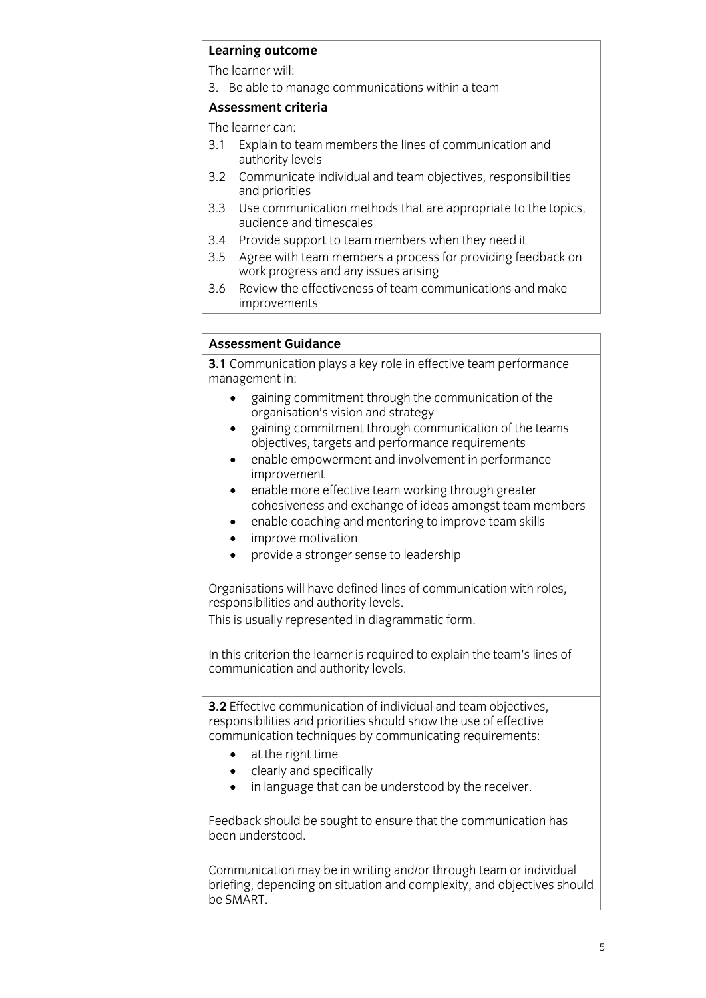# **Learning outcome**<br>The learner will:

3. Be able to manage communications within a team

### Assessment criteria

The learner can:

- 3.1 Explain to team members the lines of communication and authority levels
- $3.2$ Communicate individual and team objectives, responsibilities and priorities
- $3.3$ Use communication methods that are appropriate to the topics. audience and timescales
- $3.4$ Provide support to team members when they need it
- 3.5 Agree with team members a process for providing feedback on work progress and any issues arising
- Review the effectiveness of team communications and make  $3.6$ improvements improvements and the contract of the contract of the contract of the contract of the contract of the contract of the contract of the contract of the contract of the contract of the contract of the contract of the contract

### **Assessment Guidance**

**3.1** Communication plays a key role in effective team performance management in:

- gaining commitment through the communication of the organisation's vision and strategy
	- gaining commitment through communication of the teams<br>objectives, targets and performance requirements
	- enable empowerment and involvement in performance<br>improvement
	- enable more effective team working through greater<br>cohesiveness and exchange of ideas amongst team n
	- enable coaching and mentoring to improve team skills<br>• improve motivation
	- improve motivation
	- provide a stronger sense to leadership

Organisations will have defined lines of communication with roles,

This is usually represented in diagrammatic form.  $\mathcal{T}$  is usually represented in diagrammatic form.

In this criterion the learner is required to explain the team's lines of communication and authority levels. communication and authority levels.

**3.2** Effective communication of individual and team objectives, responsibilities and priorities should show the use of effective communication techniques by communicating requirements:

- $\bullet$  at the right time<br>  $\bullet$  clearly and specifically
	- clearly and specifically
	- in language that can be understood by the receiver.

Feedback should be sought to ensure that the communication has been understood.

Communication may be in writing and/or through team or individual<br>briefing, depending on situation and complexity, and objectives should be SMART. be SMART.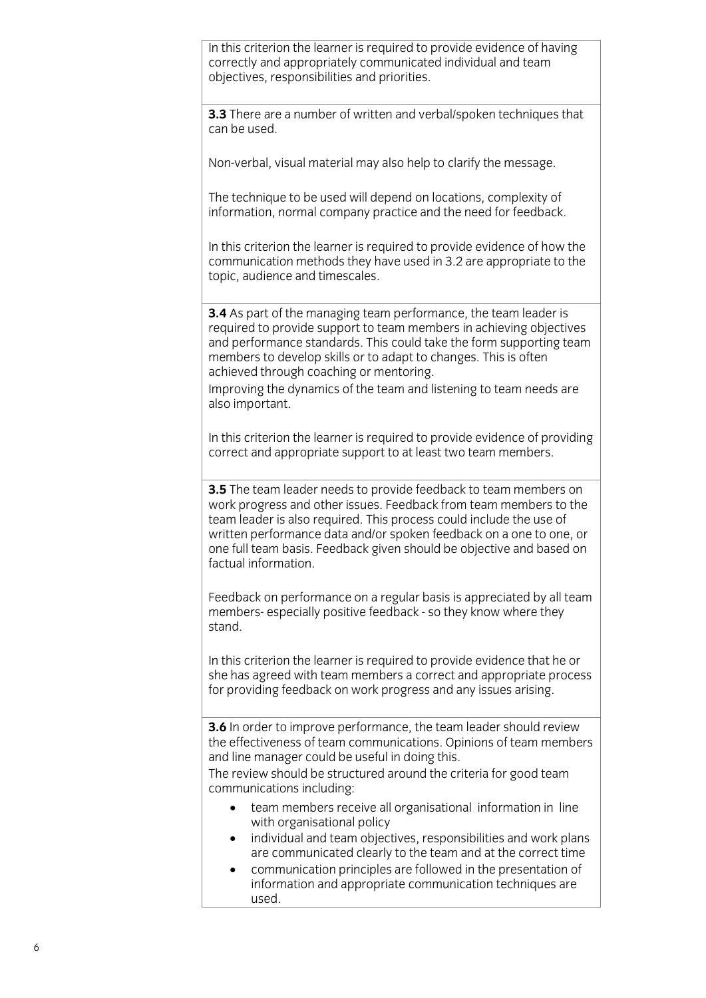In this criterion the learner is required to provide evidence of having correctly and appropriately communicated individual and team objectives, responsibilities and priorities. objectives, responsibilities and priorities.

**3.3** There are a number of written and verbal/spoken techniques that can be used.

Non-verbal, visual material may also help to clarify the message.

The technique to be used will depend on locations, complexity of information, normal company practice and the need for feedback. information, normal company practice and the need for feedback.

In this criterion the learner is required to provide evidence of how the communication methods they have used in 3.2 are appropriate to the topic, audience and timescales.  $\mathbf{t}$  to  $\mathbf{t}$ 

**3.4** As part of the managing team performance, the team leader is required to provide support to team members in achieving objectives and performance standards. This could take the form supporting team members to develop skills or to adapt to changes. This is often achieved through coaching or mentoring.

Improving the dynamics of the team and listening to team needs are also important. also important.

In this criterion the learner is required to provide evidence of providing correct and appropriate support to at least two team members. correct and appropriate support to at least two team members.

**3.5** The team leader needs to provide feedback to team members on work progress and other issues. Feedback from team members to the team leader is also required. This process could include the use of written performance data and/or spoken feedback on a one to one, or one full team basis. Feedback given should be objective and based on factual information. factual information.

Feedback on performance on a regular basis is appreciated by all team<br>members-especially positive feedback - so they know where they  $stand$  and the so they know where they know where they know where they know where they know where they know where they know where they know where they know where they know where they know where they know where they know wher

In this criterion the learner is required to provide evidence that he or she has agreed with team members a correct and appropriate process for providing feedback on work progress and any issues arising. for providing feedback on work progress and any issues arising.

**3.6** In order to improve performance, the team leader should review the effectiveness of team communications. Opinions of team members and line manager could be useful in doing this.

The review should be structured around the criteria for good team communications including:

- team members receive all organisational information in line<br>with organisational policy
	- individual and team objectives, responsibilities and work plans are communicated clearly to the team and at the correct time
	- communication principles are followed in the presentation of information and appropriate communication techniques are information and appropriate communication techniques are used.